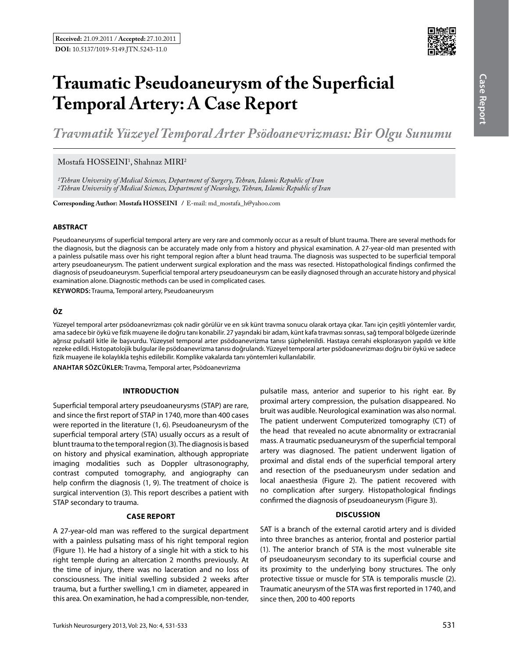

# **Traumatic Pseudoaneurysm of the Superficial Temporal Artery: A Case Report**

*Travmatik Yüzeyel Temporal Arter Psödoanevrizması: Bir Olgu Sunumu* 

# $M$ ostafa HOSSEINI<sup>1</sup>, Shahnaz MIRI<sup>2</sup>

*1Tehran University of Medical Sciences, Department of Surgery, Tehran, Islamic Republic of Iran 2Tehran University of Medical Sciences, Department of Neurology, Tehran, Islamic Republic of Iran*

**Corresponding Author: Mostafa Hosseını /** E-mail: md\_mostafa\_h@yahoo.com

#### **ABSTRACT**

Pseudoaneurysms of superficial temporal artery are very rare and commonly occur as a result of blunt trauma. There are several methods for the diagnosis, but the diagnosis can be accurately made only from a history and physical examination. A 27-year-old man presented with a painless pulsatile mass over his right temporal region after a blunt head trauma. The diagnosis was suspected to be superficial temporal artery pseudoaneurysm. The patient underwent surgical exploration and the mass was resected. Histopathological findings confirmed the diagnosis of pseudoaneurysm. Superficial temporal artery pseudoaneurysm can be easily diagnosed through an accurate history and physical examination alone. Diagnostic methods can be used in complicated cases.

**Keywords:** Trauma, Temporal artery, Pseudoaneurysm

#### **ÖZ**

Yüzeyel temporal arter psödoanevrizması çok nadir görülür ve en sık künt travma sonucu olarak ortaya çıkar. Tanı için çeşitli yöntemler vardır, ama sadece bir öykü ve fizik muayene ile doğru tanı konabilir. 27 yaşındaki bir adam, künt kafa travması sonrası, sağ temporal bölgede üzerinde ağrısız pulsatil kitle ile başvurdu. Yüzeysel temporal arter psödoanevrizma tanısı şüphelenildi. Hastaya cerrahi eksplorasyon yapıldı ve kitle rezeke edildi. Histopatolojik bulgular ile psödoanevrizma tanısı doğrulandı. Yüzeyel temporal arter psödoanevrizması doğru bir öykü ve sadece fizik muayene ile kolaylıkla teşhis edilebilir. Komplike vakalarda tanı yöntemleri kullanılabilir.

**ANAHTAR SÖZCÜKLER:** Travma, Temporal arter, Psödoanevrizma

#### **Introduction**

Superficial temporal artery pseudoaneurysms (STAP) are rare, and since the first report of STAP in 1740, more than 400 cases were reported in the literature (1, 6). Pseudoaneurysm of the superficial temporal artery (STA) usually occurs as a result of blunt trauma to the temporal region (3). The diagnosis is based on history and physical examination, although appropriate imaging modalities such as Doppler ultrasonography, contrast computed tomography, and angiography can help confirm the diagnosis (1, 9). The treatment of choice is surgical intervention (3). This report describes a patient with STAP secondary to trauma.

## **Case report**

A 27-year-old man was reffered to the surgical department with a painless pulsating mass of his right temporal region (Figure 1). He had a history of a single hit with a stick to his right temple during an altercation 2 months previously. At the time of injury, there was no laceration and no loss of consciousness. The initial swelling subsided 2 weeks after trauma, but a further swelling,1 cm in diameter, appeared in this area. On examination, he had a compressible, non-tender,

pulsatile mass, anterior and superior to his right ear. By proximal artery compression, the pulsation disappeared. No bruit was audible. Neurological examination was also normal. The patient underwent Computerized tomography (CT) of the head that revealed no acute abnormality or extracranial mass. A traumatic pseduaneurysm of the superficial temporal artery was diagnosed. The patient underwent ligation of proximal and distal ends of the superficial temporal artery and resection of the pseduaneurysm under sedation and local anaesthesia (Figure 2). The patient recovered with no complication after surgery. Histopathological findings confirmed the diagnosis of pseudoaneurysm (Figure 3).

# **Discussion**

SAT is a branch of the external carotid artery and is divided into three branches as anterior, frontal and posterior partial (1). The anterior branch of STA is the most vulnerable site of pseudoaneurysm secondary to its superficial course and its proximity to the underlying bony structures. The only protective tissue or muscle for STA is temporalis muscle (2). Traumatic aneurysm of the STA was first reported in 1740, and since then, 200 to 400 reports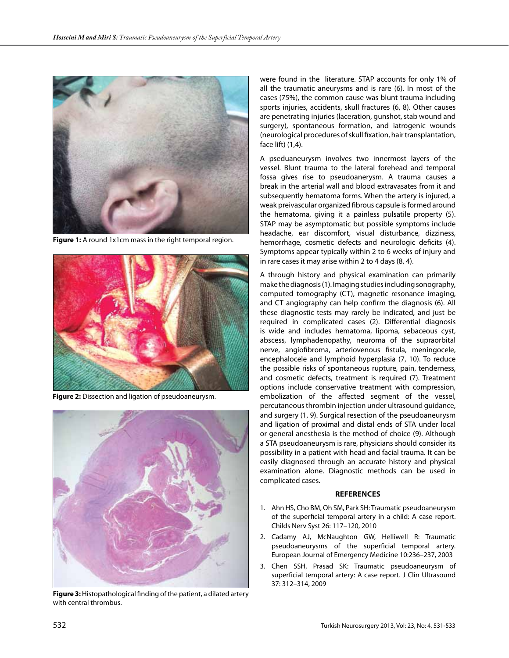

**Figure 1:** A round 1x1cm mass in the right temporal region.



**Figure 2:** Dissection and ligation of pseudoaneurysm.



**Figure 3:** Histopathological finding of the patient, a dilated artery with central thrombus.

were found in the literature. STAP accounts for only 1% of all the traumatic aneurysms and is rare (6). In most of the cases (75%), the common cause was blunt trauma including sports injuries, accidents, skull fractures (6, 8). Other causes are penetrating injuries (laceration, gunshot, stab wound and surgery), spontaneous formation, and iatrogenic wounds (neurological procedures of skull fixation, hair transplantation, face lift) (1,4).

A pseduaneurysm involves two innermost layers of the vessel. Blunt trauma to the lateral forehead and temporal fossa gives rise to pseudoanerysm. A trauma causes a break in the arterial wall and blood extravasates from it and subsequently hematoma forms. When the artery is injured, a weak preivascular organized fibrous capsule is formed around the hematoma, giving it a painless pulsatile property (5). STAP may be asymptomatic but possible symptoms include headache, ear discomfort, visual disturbance, dizziness, hemorrhage, cosmetic defects and neurologic deficits (4). Symptoms appear typically within 2 to 6 weeks of injury and in rare cases it may arise within 2 to 4 days (8, 4).

A through history and physical examination can primarily make the diagnosis (1). Imaging studies including sonography, computed tomography (CT), magnetic resonance imaging, and CT angiography can help confirm the diagnosis (6). All these diagnostic tests may rarely be indicated, and just be required in complicated cases (2). Differential diagnosis is wide and includes hematoma, lipoma, sebaceous cyst, abscess, lymphadenopathy, neuroma of the supraorbital nerve, angiofibroma, arteriovenous fistula, meningocele, encephalocele and lymphoid hyperplasia (7, 10). To reduce the possible risks of spontaneous rupture, pain, tenderness, and cosmetic defects, treatment is required (7). Treatment options include conservative treatment with compression, embolization of the affected segment of the vessel, percutaneous thrombin injection under ultrasound guidance, and surgery (1, 9). Surgical resection of the pseudoaneurysm and ligation of proximal and distal ends of STA under local or general anesthesia is the method of choice (9). Although a STA pseudoaneurysm is rare, physicians should consider its possibility in a patient with head and facial trauma. It can be easily diagnosed through an accurate history and physical examination alone. Diagnostic methods can be used in complicated cases.

## **References**

- 1. Ahn HS, Cho BM, Oh SM, Park SH: Traumatic pseudoaneurysm of the superficial temporal artery in a child: A case report. Childs Nerv Syst 26: 117–120, 2010
- 2. Cadamy AJ, McNaughton GW, Helliwell R: Traumatic pseudoaneurysms of the superficial temporal artery. European Journal of Emergency Medicine 10:236–237, 2003
- 3. Chen SSH, Prasad SK: Traumatic pseudoaneurysm of superficial temporal artery: A case report. J Clin Ultrasound 37: 312–314, 2009